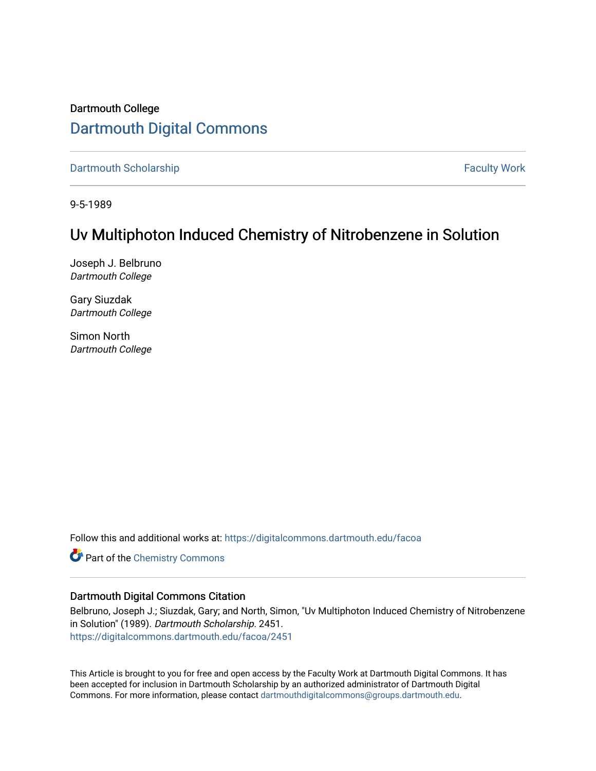# Dartmouth College [Dartmouth Digital Commons](https://digitalcommons.dartmouth.edu/)

[Dartmouth Scholarship](https://digitalcommons.dartmouth.edu/facoa) Faculty Work

9-5-1989

# Uv Multiphoton Induced Chemistry of Nitrobenzene in Solution

Joseph J. Belbruno Dartmouth College

Gary Siuzdak Dartmouth College

Simon North Dartmouth College

Follow this and additional works at: [https://digitalcommons.dartmouth.edu/facoa](https://digitalcommons.dartmouth.edu/facoa?utm_source=digitalcommons.dartmouth.edu%2Ffacoa%2F2451&utm_medium=PDF&utm_campaign=PDFCoverPages)

**Part of the Chemistry Commons** 

# Dartmouth Digital Commons Citation

Belbruno, Joseph J.; Siuzdak, Gary; and North, Simon, "Uv Multiphoton Induced Chemistry of Nitrobenzene in Solution" (1989). Dartmouth Scholarship. 2451. [https://digitalcommons.dartmouth.edu/facoa/2451](https://digitalcommons.dartmouth.edu/facoa/2451?utm_source=digitalcommons.dartmouth.edu%2Ffacoa%2F2451&utm_medium=PDF&utm_campaign=PDFCoverPages) 

This Article is brought to you for free and open access by the Faculty Work at Dartmouth Digital Commons. It has been accepted for inclusion in Dartmouth Scholarship by an authorized administrator of Dartmouth Digital Commons. For more information, please contact [dartmouthdigitalcommons@groups.dartmouth.edu](mailto:dartmouthdigitalcommons@groups.dartmouth.edu).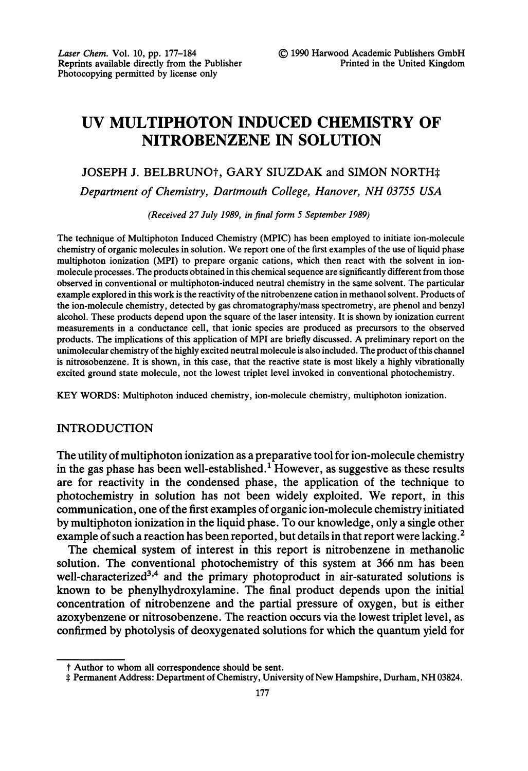# UV MULTIPHOTON INDUCED CHEMISTRY OF NITROBENZENE IN SOLUTION

#### JOSEPH J. BELBRUNO<sup>†</sup>, GARY SIUZDAK and SIMON NORTH‡

Department of Chemistry, Dartmouth College, Hanover, NH <sup>03755</sup> USA

(Received 27 July 1989, in final form 5 September 1989)

The technique of Multiphoton Induced Chemistry (MPIC) has been employed to initiate ion-molecule chemistry of organic molecules in solution. We report one of the first examples of the use of liquid phase multiphoton ionization (MPI) to prepare organic cations, which then react with the solvent in ionmolecule processes. The products obtained in this chemical sequence are significantly different from those observed in conventional or multiphoton-induced neutral chemistry in the same solvent. The particular example explored in this work is the reactivity of the nitrobenzene cation in methanol solvent. Products of the ion-molecule chemistry, detected by gas chromatography/mass spectrometry, are phenol and benzyl alcohol. These products depend upon the square of the laser intensity. It is shown by ionization current measurements in a conductance cell, that ionic species are produced as precursors to the observed products. The implications of this application of MPI are briefly discussed. A preliminary report on the unimolecular chemistry of the highly excited neutral molecule is also included. The product of this channel is nitrosobenzene. It is shown, in this case, that the reactive state is most likely a highly vibrationally excited ground state molecule, not the lowest triplet level invoked in conventional photochemistry.

KEY WORDS: Multiphoton induced chemistry, ion-molecule chemistry, multiphoton ionization.

### INTRODUCTION

The utility of multiphoton ionization as a preparative tool for ion-molecule chemistry in the gas phase has been well-established.<sup>1</sup> However, as suggestive as these results are for reactivity in the condensed phase, the application of the technique to photochemistry in solution has not been widely exploited. We report, in this communication, one of the first examples of organic ion-molecule chemistry initiated by multiphoton ionization in the liquid phase. To our knowledge, only a single other example of such a reaction has been reported, but details in that report were lacking.<sup>2</sup>

The chemical system of interest in this report is nitrobenzene in methanolic solution. The conventional photochemistry of this system at 366 nm has been well-characterized<sup>3,4</sup> and the primary photoproduct in air-saturated solutions is known to be phenylhydroxylamine. The final product depends upon the initial concentration of nitrobenzene and the partial pressure of oxygen, but is either azoxybenzene or nitrosobenzene. The reaction occurs via the lowest triplet level, as confirmed by photolysis of deoxygenated solutions for which the quantum yield for

Author to whom all correspondence should be sent.

Permanent Address: Department of Chemistry, University of New Hampshire, Durham, NH03824.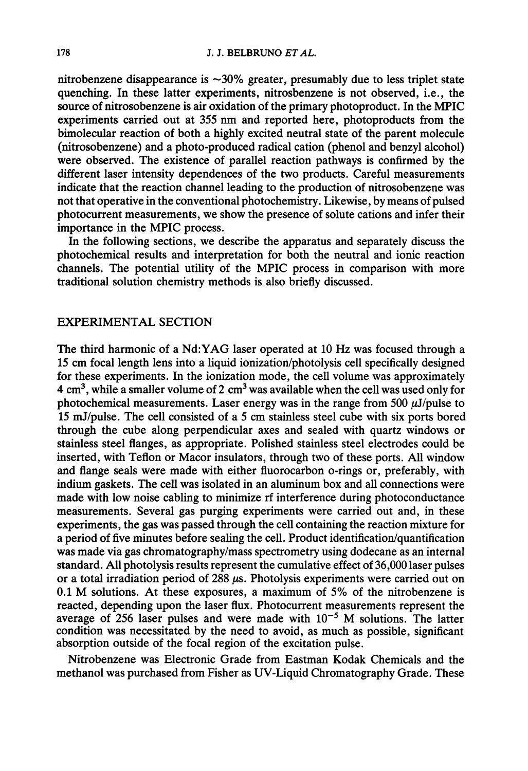nitrobenzene disappearance is  $\sim$ 30% greater, presumably due to less triplet state quenching. In these latter experiments, nitrosbenzene is not observed, i.e., the source of nitrosobenzene is air oxidation of the primary photoproduct. In the MPIC experiments carried out at 355 nm and reported here, photoproducts from the bimolecular reaction of both a highly excited neutral state of the parent molecule (nitrosobenzene) and a photo-produced radical cation (phenol and benzyl alcohol) were observed. The existence of parallel reaction pathways is confirmed by the different laser intensity dependences of the two products. Careful measurements indicate that the reaction channel leading to the production of nitrosobenzene was not that operative in the conventional photochemistry. Likewise, by means of pulsed photocurrent measurements, we show the presence of solute cations and infer their importance in the MPIC process.

In the following sections, we describe the apparatus and separately discuss the photochemical results and interpretation for both the neutral and ionic reaction channels. The potential utility of the MPIC process in comparison with more traditional solution chemistry methods is also briefly discussed.

# EXPERIMENTAL SECTION

The third harmonic of <sup>a</sup> Nd:YAG laser operated at <sup>10</sup> Hz was focused through <sup>a</sup> 15 cm focal length lens into a liquid ionization/photolysis cell specifically designed for these experiments. In the ionization mode, the cell volume was approximately 4 cm<sup>3</sup>, while a smaller volume of 2 cm<sup>3</sup> was available when the cell was used only for photochemical measurements. Laser energy was in the range from 500  $\mu$ J/pulse to 15 mJ/pulse. The cell consisted of a 5 cm stainless steel cube with six ports bored through the cube along perpendicular axes and sealed with quartz windows or stainless steel flanges, as appropriate. Polished stainless steel electrodes could be inserted, with Teflon or Macor insulators, through two of these ports. All window and flange seals were made with either fluorocarbon o-rings or, preferably, with indium gaskets. The cell was isolated in an aluminum box and all connections were made with low noise cabling to minimize rf interference during photoconductance measurements. Several gas purging experiments were carried out and, in these experiments, the gas was passed through the cell containing the reaction mixture for a period of five minutes before sealing the cell. Product identification/quantification was made via gas chromatography/mass spectrometry using dodecane as an internal standard. All photolysis results represent the cumulative effect of 36,000 laser pulses or a total irradiation period of  $288 \mu s$ . Photolysis experiments were carried out on 0.1 M solutions. At these exposures, <sup>a</sup> maximum of 5% of the nitrobenzene is reacted, depending upon the laser flux. Photocurrent measurements represent the average of  $256$  laser pulses and were made with  $10^{-5}$  M solutions. The latter condition was necessitated by the need to avoid, as much as possible, significant absorption outside of the focal region of the excitation pulse.

Nitrobenzene was Electronic Grade from Eastman Kodak Chemicals and the methanol was purchased from Fisher as UV-Liquid Chromatography Grade. These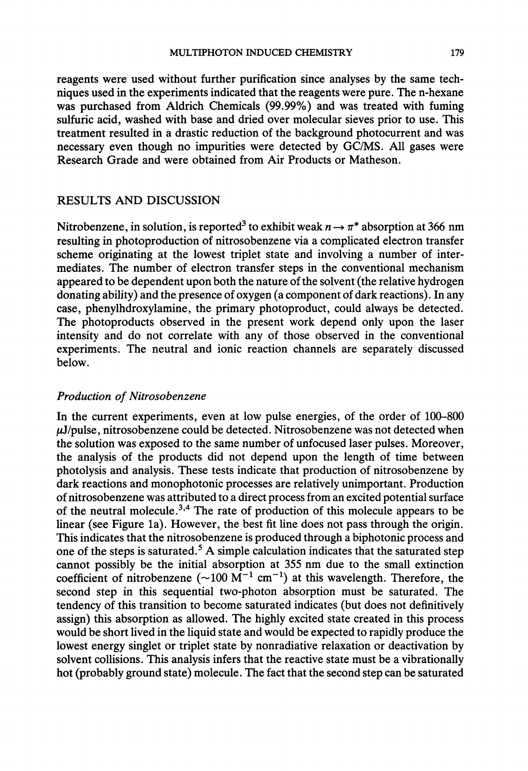reagents were used without further purification since analyses by the same techniques used in the experiments indicated that the reagents were pure. The n-hexane was purchased from Aldrich Chemicals (99.99%) and was treated with fuming sulfuric acid, washed with base and dried over molecular sieves prior to use. This treatment resulted in a drastic reduction of the background photocurrent and was necessary even though no impurities were detected by GC/MS. All gases were Research Grade and were obtained from Air Products or Matheson.

### RESULTS AND DISCUSSION

Nitrobenzene, in solution, is reported<sup>3</sup> to exhibit weak  $n \rightarrow \pi^*$  absorption at 366 nm resulting in photoproduction of nitrosobenzene via a complicated electron transfer scheme originating at the lowest triplet state and involving a number of intermediates. The number of electron transfer steps in the conventional mechanism appeared to be dependent upon both the nature of the solvent (the relative hydrogen donating ability) and the presence of oxygen (a component of dark reactions). In any case, phenylhdroxylamine, the primary photoproduct, could always be detected. The photoproducts observed in the present work depend only upon the laser intensity and do not correlate with any of those observed in the conventional experiments. The neutral and ionic reaction channels are separately discussed below.

#### Production of Nitrosobenzene

In the current experiments, even at low pulse energies, of the order of 100-800  $\mu$ J/pulse, nitrosobenzene could be detected. Nitrosobenzene was not detected when the solution was exposed to the same number of unfocused laser pulses. Moreover, the analysis of the products did not depend upon the length of time between photolysis and analysis. These tests indicate that production of nitrosobenzene by dark reactions and monophotonic processes are relatively unimportant. Production of nitrosobenzene was attributed to a direct process from an excited potential surface of the neutral molecule.<sup>3,4</sup> The rate of production of this molecule appears to be linear (see Figure la). However, the best fit line does not pass through the origin. This indicates that the nitrosobenzene is produced through a biphotonic process and one of the steps is saturated.<sup>5</sup> A simple calculation indicates that the saturated step cannot possibly be the initial absorption at 355 nm due to the small extinction coefficient of nitrobenzene  $(\sim 100 \text{ M})$ coefficient of nitrobenzene  $(\sim 100 \text{ M}^{-1} \text{ cm}^{-1})$  at this wavelength. Therefore, the second step in this sequential two-photon absorption must be saturated. The tendency of this transition to become saturated indicates (but does not definitively assign) this absorption as allowed. The highly excited state created in this process would be short lived in the liquid state and would be expected to rapidly produce the lowest energy singlet or triplet state by nonradiative relaxation or deactivation by solvent collisions. This analysis infers that the reactive state must be a vibrationally hot (probably ground state) molecule. The fact that the second step can be saturated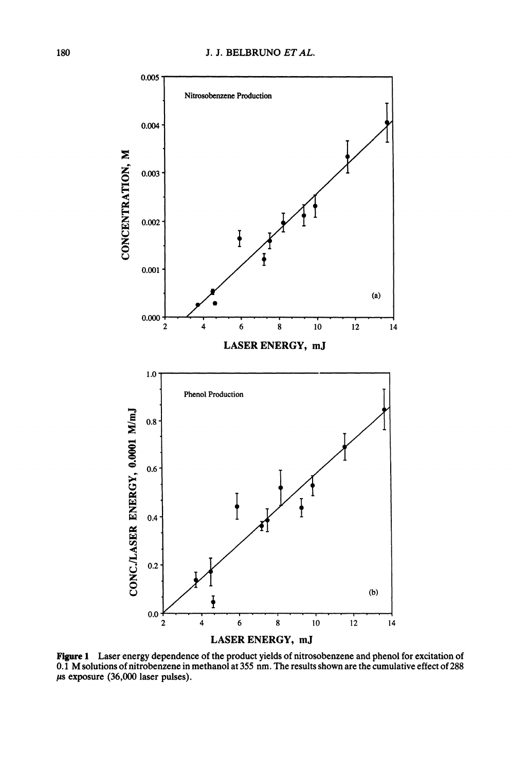

**Figure 1** Laser energy dependence of the product yields of nitrosobenzene and phenol for excitation of 0.1 M solutions of nitrobenzene in methanol at 355 nm. The results shown are the cumulative effect of 288  $\mu$ s exposure (36,000 laser pulses).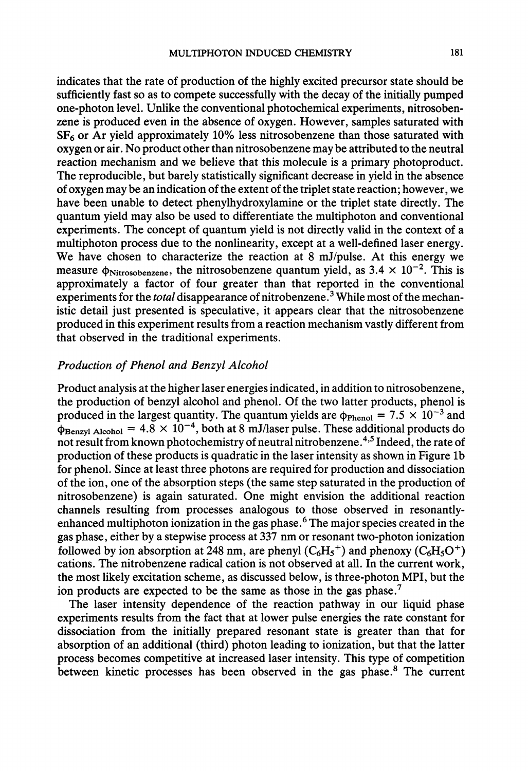indicates that the rate of production of the highly excited precursor state should be sufficiently fast so as to compete successfully with the decay of the initially pumped one-photon level. Unlike the conventional photochemical experiments, nitrosobenzene is produced even in the absence of oxygen. However, samples saturated with  $SF<sub>6</sub>$  or Ar yield approximately 10% less nitrosobenzene than those saturated with oxygen or air. No product other than nitrosobenzene may be attributed to the neutral reaction mechanism and we believe that this molecule is a primary photoproduct. The reproducible, but barely statistically significant decrease in yield in the absence of oxygen may be an indication of the extent of the triplet state reaction; however, we have been unable to detect phenylhydroxylamine or the triplet state directly. The quantum yield may also be used to differentiate the multiphoton and conventional experiments. The concept of quantum yield is not directly valid in the context of a multiphoton process due to the nonlinearity, except at a well-defined laser energy. We have chosen to characterize the reaction at <sup>8</sup> mJ/pulse. At this energy we measure  $\phi_{\text{Nitrosobenzene}}$ , the nitrosobenzene quantum yield, as 3.4  $\times$  10<sup>-2</sup>. This is approximately a factor of four greater than that reported in the conventional experiments for the *total* disappearance of nitrobenzene.<sup>3</sup> While most of the mechanistic detail just presented is speculative, it appears clear that the nitrosobenzene produced in this experiment results from a reaction mechanism vastly different from that observed in the traditional experiments.

# Production of Phenol and Benzyl Alcohol

Product analysis at the higher laser energies indicated, in addition to nitrosobenzene, the production of benzyl alcohol and phenol. Of the two latter products, phenol is produced in the largest quantity. The quantum yields are  $\phi_{Phenol} = 7.5 \times 10^{-3}$  and  $\Phi_{\text{Benzyl Alcohol}} = 4.8 \times 10^{-4}$ , both at 8 mJ/laser pulse. These additional products do not result from known photochemistry of neutral nitrobenzene.<sup>4,5</sup> Indeed, the rate of production of these products is quadratic in the laser intensity as shown in Figure lb for phenol. Since at least three photons are required for production and dissociation of the ion, one of the absorption steps (the same step saturated in the production of nitrosobenzene) is again saturated. One might envision the additional reaction channels resulting from processes analogous to those observed in resonantlyenhanced multiphoton ionization in the gas phase.<sup>6</sup> The major species created in the gas phase, either by <sup>a</sup> stepwise process at 337 nm or resonant two-photon ionization followed by ion absorption at 248 nm, are phenyl  $(C_6H_5^+)$  and phenoxy  $(C_6H_5O^+)$ cations. The nitrobenzene radical cation is not observed at all. In the current work, the most likely excitation scheme, as discussed below, is three-photon MPI, but the ion products are expected to be the same as those in the gas phase.<sup>7</sup>

The laser intensity dependence of the reaction pathway in our liquid phase experiments results from the fact that at lower pulse energies the rate constant for dissociation from the initially prepared resonant state is greater than that for absorption of an additional (third) photon leading to ionization, but that the latter process becomes competitive at increased laser intensity. This type of competition between kinetic processes has been observed in the gas phase.<sup>8</sup> The current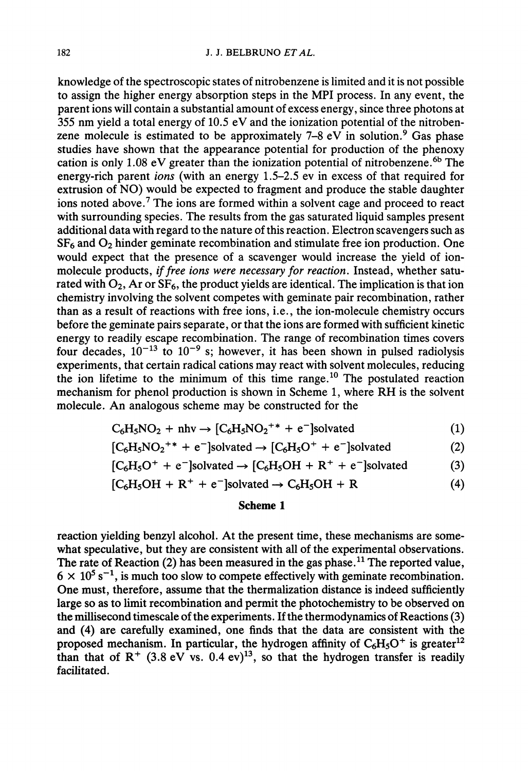knowledge of the spectroscopic states of nitrobenzene is limited and it is not possible to assign the higher energy absorption steps in the MPI process. In any event, the parent ions will contain a substantial amount of excess energy, since three photons at 355 nm yield <sup>a</sup> total energy of 10.5 eV and the ionization potential of the nitrobenzene molecule is estimated to be approximately  $7-8$  eV in solution.<sup>9</sup> Gas phase studies have shown that the appearance potential for production of the phenoxy cation is only  $1.08$  eV greater than the ionization potential of nitrobenzene.<sup>6b</sup> The energy-rich parent *ions* (with an energy 1.5–2.5 ev in excess of that required for extrusion of NO) would be expected to fragment and produce the stable daughter ions noted above.<sup>7</sup> The ions are formed within a solvent cage and proceed to react with surrounding species. The results from the gas saturated liquid samples present additional data with regard to the nature of this reaction. Electron scavengers such as  $SF<sub>6</sub>$  and  $O<sub>2</sub>$  hinder geminate recombination and stimulate free ion production. One would expect that the presence of a scavenger would increase the yield of ionmolecule products, if free ions were necessary for reaction. Instead, whether saturated with  $O_2$ , Ar or  $SF_6$ , the product yields are identical. The implication is that ion chemistry involving the solvent competes with geminate pair recombination, rather than as a result of reactions with free ions, i.e., the ion-molecule chemistry occurs before the geminate pairs separate, or that the ions are formed with sufficient kinetic energy to readily escape recombination. The range of recombination times covers four decades,  $10^{-13}$  to  $10^{-9}$  s; however, it has been shown in pulsed radiolysis experiments, that certain radical cations may react with solvent molecules, reducing the ion lifetime to the minimum of this time range.<sup>10</sup> The postulated reaction mechanism for phenol production is shown in Scheme 1, where RH is the solvent molecule. An analogous scheme may be constructed for the

$$
C_6H_5NO_2 + nhv \rightarrow [C_6H_5NO_2^{+*} + e^-] \text{solvated} \tag{1}
$$

$$
[C_6H_5NO_2^{+*} + e^-]
$$
solvated  $\rightarrow$   $[C_6H_5O^+ + e^-]$ solvated (2)

$$
[C_6H_5O^+ + e^-]
$$
solvated  $\rightarrow$   $[C_6H_5OH + R^+ + e^-]$ solvated (3)

$$
[C_6H_5OH + R^+ + e^-]
$$
solvated  $\rightarrow$  C<sub>6</sub>H<sub>5</sub>OH + R (4)

#### Scheme 1

reaction yielding benzyl alcohol. At the present time, these mechanisms are somewhat speculative, but they are consistent with all of the experimental observations. The rate of Reaction  $(2)$  has been measured in the gas phase.<sup>11</sup> The reported value,  $6 \times 10^5$  s<sup>-1</sup>, is much too slow to compete effectively with geminate recombination. One must, therefore, assume that the thermalization distance is indeed sufficiently large so as to limit recombination and permit the photochemistry to be observed on the millisecond timescale ot the experiments. If the thermodynamics of Reactions (3) and (4) are carefully examined, one finds that the data are consistent with the proposed mechanism. In particular, the hydrogen affinity of  $C_6H_5O^+$  is greater<sup>12</sup> than that of  $R^+$  (3.8 eV vs. 0.4 ev)<sup>13</sup>, so that the hydrogen transfer is readily facilitated.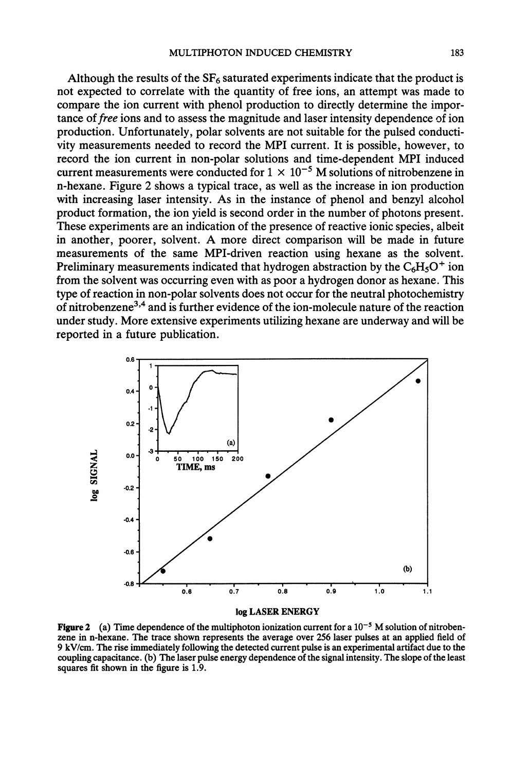Although the results of the  $SF<sub>6</sub>$  saturated experiments indicate that the product is not expected to correlate with the quantity of free ions, an attempt was made to compare the ion current with phenol production to directly determine the importance of *free* ions and to assess the magnitude and laser intensity dependence of ion production. Unfortunately, polar solvents are not suitable for the pulsed conductivity measurements needed to record the MPI current. It is possible, however, to record the ion current in non-polar solutions and time-dependent MPI induced current measurements were conducted for  $1 \times 10^{-5}$  M solutions of nitrobenzene in n-hexane. Figure 2 shows a typical trace, as well as the increase in ion production with increasing laser intensity. As in the instance of phenol and benzyl alcohol product formation, the ion yield is second order in the number of photons present. These experiments are an indication of the presence of reactive ionic species, albeit in another, poorer, solvent. A more direct comparison will be made in future measurements of the same MPI-driven reaction using hexane as the solvent. Preliminary measurements indicated that hydrogen abstraction by the  $C_6H_5O^+$  ion from the solvent was occurring even with as poor a hydrogen donor as hexane. This type of reaction in non-polar solvents does not occur for the neutral photochemistry of nitrobenzene<sup>3,4</sup> and is further evidence of the ion-molecule nature of the reaction under study. More extensive experiments utilizing hexane are underway and will be reported in a future publication.



log LASER ENERGY

**Figure 2** (a) Time dependence of the multiphoton ionization current for a  $10^{-5}$  M solution of nitrobenzene in n-hexane. The trace shown represents the average over 256 laser pulses at an applied field of 9 kV/em. The rise immediately following the detected current pulse is an experimental artifact due to the coupling capacitance. (b) The laser pulse energy dependence of the signal intensity. The slope of the least squares fit shown in the figure is 1.9.